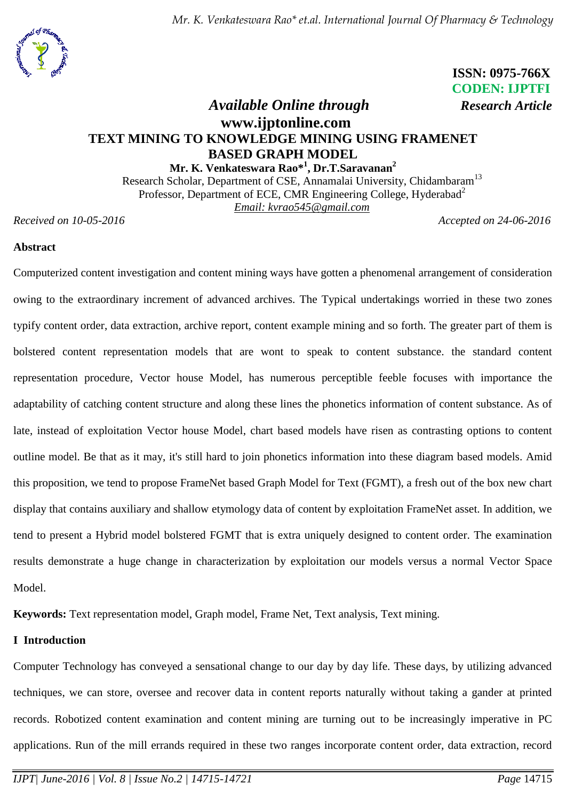*Mr. K. Venkateswara Rao\* et.al. International Journal Of Pharmacy & Technology*



 **ISSN: 0975-766X CODEN: IJPTFI**

# *Available Online through Research Article* **www.ijptonline.com TEXT MINING TO KNOWLEDGE MINING USING FRAMENET BASED GRAPH MODEL**

**Mr. K. Venkateswara Rao\* 1 , Dr.T.Saravanan<sup>2</sup>** Research Scholar, Department of CSE, Annamalai University, Chidambaram<sup>13</sup> Professor, Department of ECE, CMR Engineering College, Hyderabad<sup>2</sup> *Email: kvrao545@gmail.com*

*Received on 10-05-2016 Accepted on 24-06-2016*

## **Abstract**

Computerized content investigation and content mining ways have gotten a phenomenal arrangement of consideration owing to the extraordinary increment of advanced archives. The Typical undertakings worried in these two zones typify content order, data extraction, archive report, content example mining and so forth. The greater part of them is bolstered content representation models that are wont to speak to content substance. the standard content representation procedure, Vector house Model, has numerous perceptible feeble focuses with importance the adaptability of catching content structure and along these lines the phonetics information of content substance. As of late, instead of exploitation Vector house Model, chart based models have risen as contrasting options to content outline model. Be that as it may, it's still hard to join phonetics information into these diagram based models. Amid this proposition, we tend to propose FrameNet based Graph Model for Text (FGMT), a fresh out of the box new chart display that contains auxiliary and shallow etymology data of content by exploitation FrameNet asset. In addition, we tend to present a Hybrid model bolstered FGMT that is extra uniquely designed to content order. The examination results demonstrate a huge change in characterization by exploitation our models versus a normal Vector Space Model.

**Keywords:** Text representation model, Graph model, Frame Net, Text analysis, Text mining.

## **I Introduction**

Computer Technology has conveyed a sensational change to our day by day life. These days, by utilizing advanced techniques, we can store, oversee and recover data in content reports naturally without taking a gander at printed records. Robotized content examination and content mining are turning out to be increasingly imperative in PC applications. Run of the mill errands required in these two ranges incorporate content order, data extraction, record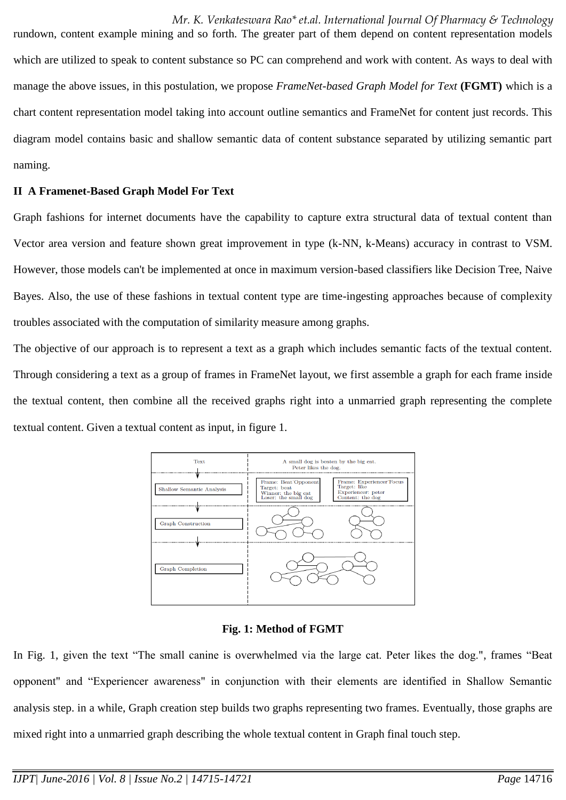*Mr. K. Venkateswara Rao\* et.al. International Journal Of Pharmacy & Technology* rundown, content example mining and so forth. The greater part of them depend on content representation models which are utilized to speak to content substance so PC can comprehend and work with content. As ways to deal with manage the above issues, in this postulation, we propose *FrameNet-based Graph Model for Text* **(FGMT)** which is a chart content representation model taking into account outline semantics and FrameNet for content just records. This

diagram model contains basic and shallow semantic data of content substance separated by utilizing semantic part naming.

## **II A Framenet-Based Graph Model For Text**

Graph fashions for internet documents have the capability to capture extra structural data of textual content than Vector area version and feature shown great improvement in type (k-NN, k-Means) accuracy in contrast to VSM. However, those models can't be implemented at once in maximum version-based classifiers like Decision Tree, Naive Bayes. Also, the use of these fashions in textual content type are time-ingesting approaches because of complexity troubles associated with the computation of similarity measure among graphs.

The objective of our approach is to represent a text as a graph which includes semantic facts of the textual content. Through considering a text as a group of frames in FrameNet layout, we first assemble a graph for each frame inside the textual content, then combine all the received graphs right into a unmarried graph representing the complete textual content. Given a textual content as input, in figure 1.



## **Fig. 1: Method of FGMT**

In Fig. 1, given the text "The small canine is overwhelmed via the large cat. Peter likes the dog.", frames "Beat opponent" and "Experiencer awareness" in conjunction with their elements are identified in Shallow Semantic analysis step. in a while, Graph creation step builds two graphs representing two frames. Eventually, those graphs are mixed right into a unmarried graph describing the whole textual content in Graph final touch step.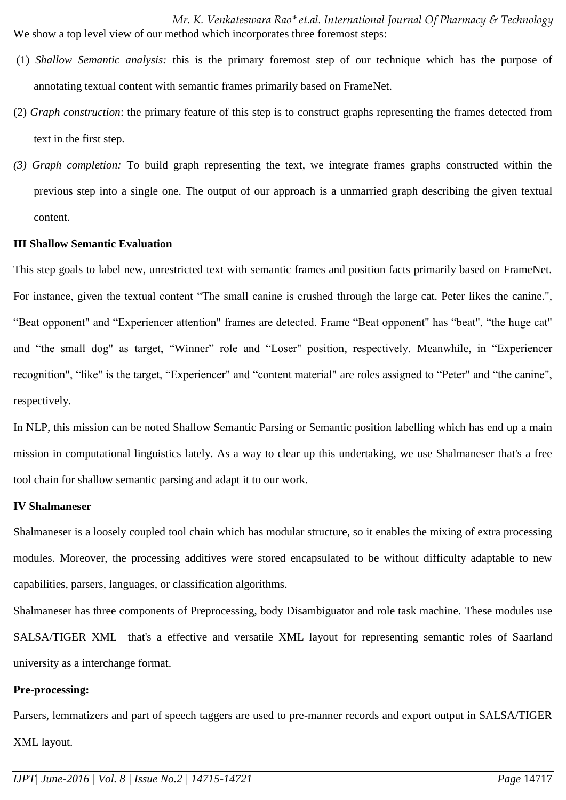*Mr. K. Venkateswara Rao\* et.al. International Journal Of Pharmacy & Technology* We show a top level view of our method which incorporates three foremost steps:

- (1) *Shallow Semantic analysis:* this is the primary foremost step of our technique which has the purpose of annotating textual content with semantic frames primarily based on FrameNet.
- (2) *Graph construction*: the primary feature of this step is to construct graphs representing the frames detected from text in the first step.
- *(3) Graph completion:* To build graph representing the text, we integrate frames graphs constructed within the previous step into a single one. The output of our approach is a unmarried graph describing the given textual content.

#### **III Shallow Semantic Evaluation**

This step goals to label new, unrestricted text with semantic frames and position facts primarily based on FrameNet. For instance, given the textual content "The small canine is crushed through the large cat. Peter likes the canine.", "Beat opponent" and "Experiencer attention" frames are detected. Frame "Beat opponent" has "beat", "the huge cat" and "the small dog" as target, "Winner" role and "Loser" position, respectively. Meanwhile, in "Experiencer recognition", "like" is the target, "Experiencer" and "content material" are roles assigned to "Peter" and "the canine", respectively.

In NLP, this mission can be noted Shallow Semantic Parsing or Semantic position labelling which has end up a main mission in computational linguistics lately. As a way to clear up this undertaking, we use Shalmaneser that's a free tool chain for shallow semantic parsing and adapt it to our work.

#### **IV Shalmaneser**

Shalmaneser is a loosely coupled tool chain which has modular structure, so it enables the mixing of extra processing modules. Moreover, the processing additives were stored encapsulated to be without difficulty adaptable to new capabilities, parsers, languages, or classification algorithms.

Shalmaneser has three components of Preprocessing, body Disambiguator and role task machine. These modules use SALSA/TIGER XML that's a effective and versatile XML layout for representing semantic roles of Saarland university as a interchange format.

#### **Pre-processing:**

Parsers, lemmatizers and part of speech taggers are used to pre-manner records and export output in SALSA/TIGER XML layout.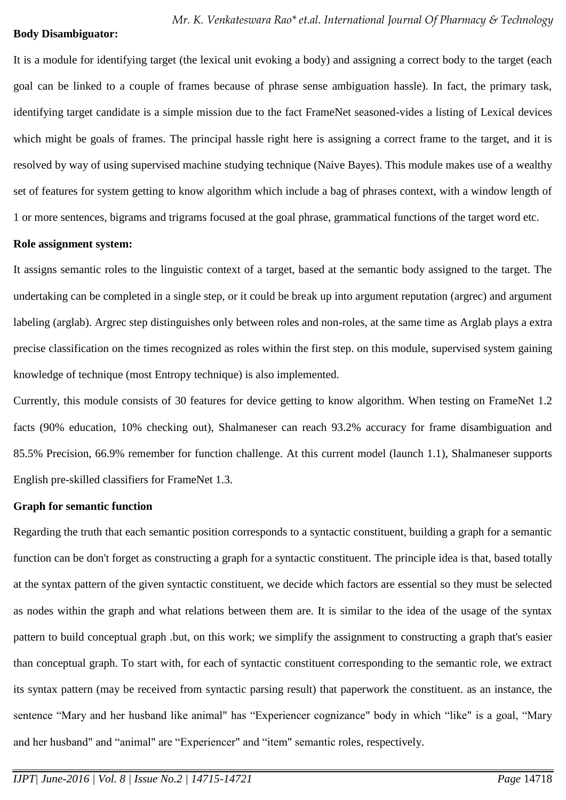#### **Body Disambiguator:**

It is a module for identifying target (the lexical unit evoking a body) and assigning a correct body to the target (each goal can be linked to a couple of frames because of phrase sense ambiguation hassle). In fact, the primary task, identifying target candidate is a simple mission due to the fact FrameNet seasoned-vides a listing of Lexical devices which might be goals of frames. The principal hassle right here is assigning a correct frame to the target, and it is resolved by way of using supervised machine studying technique (Naive Bayes). This module makes use of a wealthy set of features for system getting to know algorithm which include a bag of phrases context, with a window length of 1 or more sentences, bigrams and trigrams focused at the goal phrase, grammatical functions of the target word etc.

### **Role assignment system:**

It assigns semantic roles to the linguistic context of a target, based at the semantic body assigned to the target. The undertaking can be completed in a single step, or it could be break up into argument reputation (argrec) and argument labeling (arglab). Argrec step distinguishes only between roles and non-roles, at the same time as Arglab plays a extra precise classification on the times recognized as roles within the first step. on this module, supervised system gaining knowledge of technique (most Entropy technique) is also implemented.

Currently, this module consists of 30 features for device getting to know algorithm. When testing on FrameNet 1.2 facts (90% education, 10% checking out), Shalmaneser can reach 93.2% accuracy for frame disambiguation and 85.5% Precision, 66.9% remember for function challenge. At this current model (launch 1.1), Shalmaneser supports English pre-skilled classifiers for FrameNet 1.3.

## **Graph for semantic function**

Regarding the truth that each semantic position corresponds to a syntactic constituent, building a graph for a semantic function can be don't forget as constructing a graph for a syntactic constituent. The principle idea is that, based totally at the syntax pattern of the given syntactic constituent, we decide which factors are essential so they must be selected as nodes within the graph and what relations between them are. It is similar to the idea of the usage of the syntax pattern to build conceptual graph .but, on this work; we simplify the assignment to constructing a graph that's easier than conceptual graph. To start with, for each of syntactic constituent corresponding to the semantic role, we extract its syntax pattern (may be received from syntactic parsing result) that paperwork the constituent. as an instance, the sentence "Mary and her husband like animal" has "Experiencer cognizance" body in which "like" is a goal, "Mary and her husband" and "animal" are "Experiencer" and "item" semantic roles, respectively.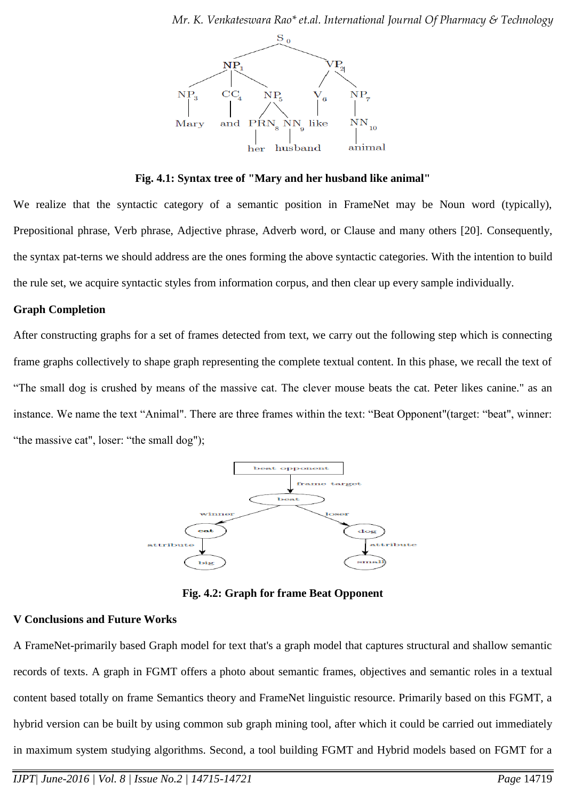

**Fig. 4.1: Syntax tree of "Mary and her husband like animal"**

We realize that the syntactic category of a semantic position in FrameNet may be Noun word (typically), Prepositional phrase, Verb phrase, Adjective phrase, Adverb word, or Clause and many others [20]. Consequently, the syntax pat-terns we should address are the ones forming the above syntactic categories. With the intention to build the rule set, we acquire syntactic styles from information corpus, and then clear up every sample individually.

## **Graph Completion**

After constructing graphs for a set of frames detected from text, we carry out the following step which is connecting frame graphs collectively to shape graph representing the complete textual content. In this phase, we recall the text of "The small dog is crushed by means of the massive cat. The clever mouse beats the cat. Peter likes canine." as an instance. We name the text "Animal". There are three frames within the text: "Beat Opponent"(target: "beat", winner: "the massive cat", loser: "the small dog");



**Fig. 4.2: Graph for frame Beat Opponent**

## **V Conclusions and Future Works**

A FrameNet-primarily based Graph model for text that's a graph model that captures structural and shallow semantic records of texts. A graph in FGMT offers a photo about semantic frames, objectives and semantic roles in a textual content based totally on frame Semantics theory and FrameNet linguistic resource. Primarily based on this FGMT, a hybrid version can be built by using common sub graph mining tool, after which it could be carried out immediately in maximum system studying algorithms. Second, a tool building FGMT and Hybrid models based on FGMT for a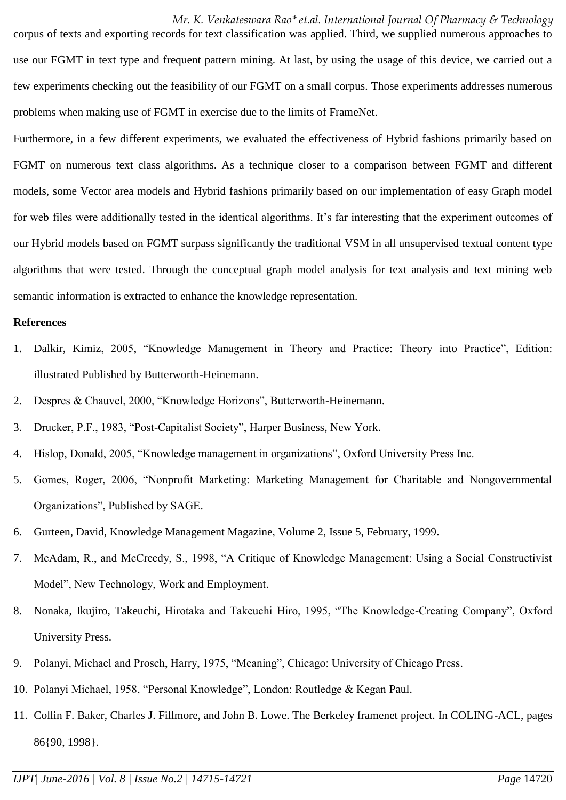*Mr. K. Venkateswara Rao\* et.al. International Journal Of Pharmacy & Technology*

corpus of texts and exporting records for text classification was applied. Third, we supplied numerous approaches to use our FGMT in text type and frequent pattern mining. At last, by using the usage of this device, we carried out a few experiments checking out the feasibility of our FGMT on a small corpus. Those experiments addresses numerous problems when making use of FGMT in exercise due to the limits of FrameNet.

Furthermore, in a few different experiments, we evaluated the effectiveness of Hybrid fashions primarily based on FGMT on numerous text class algorithms. As a technique closer to a comparison between FGMT and different models, some Vector area models and Hybrid fashions primarily based on our implementation of easy Graph model for web files were additionally tested in the identical algorithms. It's far interesting that the experiment outcomes of our Hybrid models based on FGMT surpass significantly the traditional VSM in all unsupervised textual content type algorithms that were tested. Through the conceptual graph model analysis for text analysis and text mining web semantic information is extracted to enhance the knowledge representation.

#### **References**

- 1. Dalkir, Kimiz, 2005, "Knowledge Management in Theory and Practice: Theory into Practice", Edition: illustrated Published by Butterworth-Heinemann.
- 2. Despres & Chauvel, 2000, "Knowledge Horizons", Butterworth-Heinemann.
- 3. Drucker, P.F., 1983, "Post-Capitalist Society", Harper Business, New York.
- 4. Hislop, Donald, 2005, "Knowledge management in organizations", Oxford University Press Inc.
- 5. Gomes, Roger, 2006, "Nonprofit Marketing: Marketing Management for Charitable and Nongovernmental Organizations", Published by SAGE.
- 6. Gurteen, David, Knowledge Management Magazine, Volume 2, Issue 5, February, 1999.
- 7. McAdam, R., and McCreedy, S., 1998, "A Critique of Knowledge Management: Using a Social Constructivist Model", New Technology, Work and Employment.
- 8. Nonaka, Ikujiro, Takeuchi, Hirotaka and Takeuchi Hiro, 1995, "The Knowledge-Creating Company", Oxford University Press.
- 9. Polanyi, Michael and Prosch, Harry, 1975, "Meaning", Chicago: University of Chicago Press.
- 10. Polanyi Michael, 1958, "Personal Knowledge", London: Routledge & Kegan Paul.
- 11. Collin F. Baker, Charles J. Fillmore, and John B. Lowe. The Berkeley framenet project. In COLING-ACL, pages 86{90, 1998}.